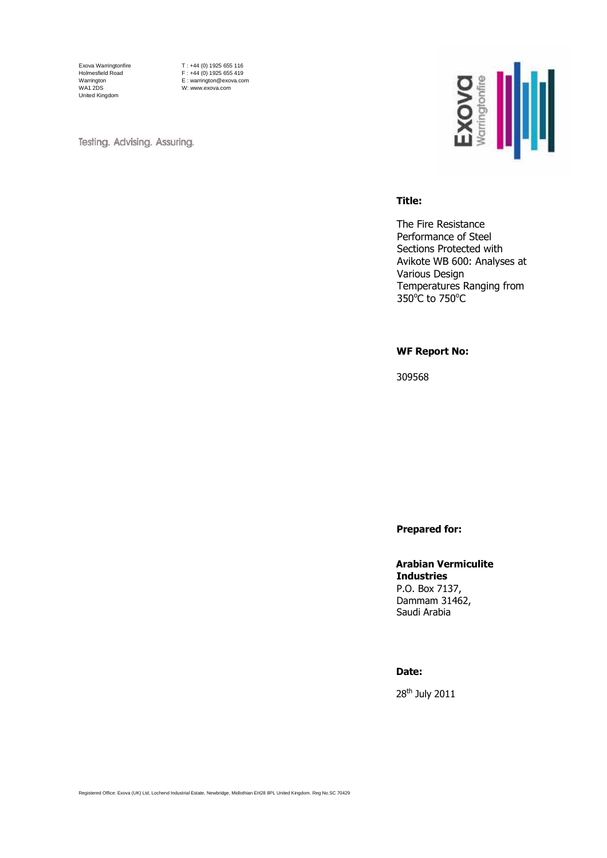Exova Warringtonfire Holmesfield Road Warrington WA1 2DS United Kingdom

T : +44 (0) 1925 655 116 F : +44 (0) 1925 655 419 E : warrington@exova.com W: www.exova.com

Testing. Advising. Assuring.



#### **Title:**

The Fire Resistance Performance of Steel Sections Protected with Avikote WB 600: Analyses at Various Design Temperatures Ranging from  $350^{\circ}$ C to 750 $^{\circ}$ C

### **WF Report No:**

309568

**Prepared for:**

### **Arabian Vermiculite Industries** P.O. Box 7137,

Dammam 31462, Saudi Arabia

### **Date:**

28th July 2011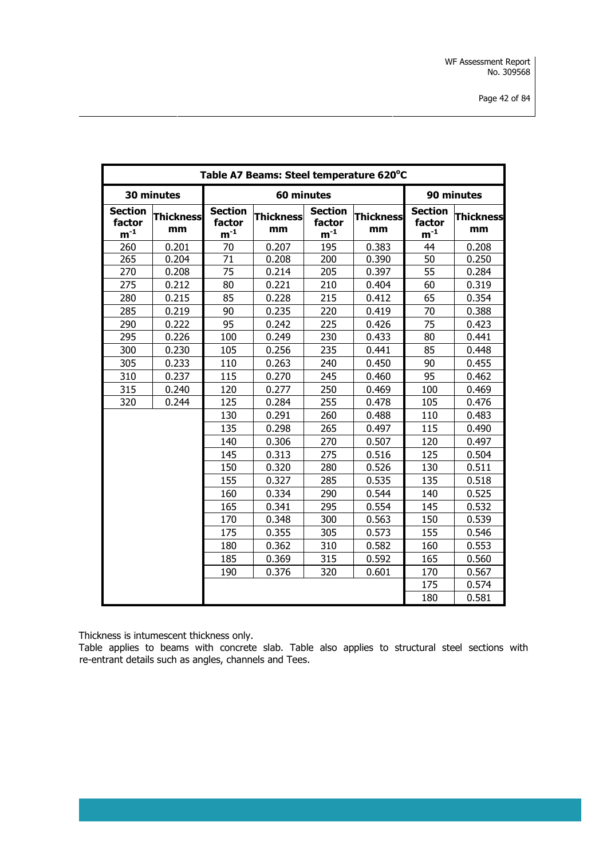|                                                   | Table A7 Beams: Steel temperature 620°C |                                                   |                        |                                                   |                        |                                                   |                        |  |  |  |  |
|---------------------------------------------------|-----------------------------------------|---------------------------------------------------|------------------------|---------------------------------------------------|------------------------|---------------------------------------------------|------------------------|--|--|--|--|
|                                                   | 30 minutes                              |                                                   | 60 minutes             |                                                   |                        |                                                   | 90 minutes             |  |  |  |  |
| <b>Section</b><br>factor<br>${\bf m}^{\text{-}1}$ | <b>Thickness</b><br>mm                  | <b>Section</b><br>factor<br>${\bf m}^{\text{-}1}$ | <b>Thickness</b><br>mm | <b>Section</b><br>factor<br>${\bf m}^{\text{-}1}$ | <b>Thickness</b><br>mm | <b>Section</b><br>factor<br>${\bf m}^{\text{-}1}$ | <b>Thickness</b><br>mm |  |  |  |  |
| 260                                               | 0.201                                   | 70                                                | 0.207                  | 195                                               | 0.383                  | 44                                                | 0.208                  |  |  |  |  |
| 265                                               | 0.204                                   | 71                                                | 0.208                  | 200                                               | 0.390                  | 50                                                | 0.250                  |  |  |  |  |
| 270                                               | 0.208                                   | 75                                                | 0.214                  | 205                                               | 0.397                  | 55                                                | 0.284                  |  |  |  |  |
| 275                                               | 0.212                                   | 80                                                | 0.221                  | 210                                               | 0.404                  | 60                                                | 0.319                  |  |  |  |  |
| 280                                               | 0.215                                   | 85                                                | 0.228                  | 215                                               | 0.412                  | 65                                                | 0.354                  |  |  |  |  |
| 285                                               | 0.219                                   | 90                                                | 0.235                  | 220                                               | 0.419                  | 70                                                | 0.388                  |  |  |  |  |
| 290                                               | 0.222                                   | 95                                                | 0.242                  | 225                                               | 0.426                  | 75                                                | 0.423                  |  |  |  |  |
| 295                                               | 0.226                                   | 100                                               | 0.249                  | 230                                               | 0.433                  | 80                                                | 0.441                  |  |  |  |  |
| 300                                               | 0.230                                   | 105                                               | 0.256                  | 235                                               | 0.441                  | 85                                                | 0.448                  |  |  |  |  |
| 305                                               | 0.233                                   | 110                                               | 0.263                  | 240                                               | 0.450                  | 90                                                | 0.455                  |  |  |  |  |
| 310                                               | 0.237                                   | 115                                               | 0.270                  | 245                                               | 0.460                  | 95                                                | 0.462                  |  |  |  |  |
| 315                                               | 0.240                                   | 120                                               | 0.277                  | 250                                               | 0.469                  | 100                                               | 0.469                  |  |  |  |  |
| 320                                               | 0.244                                   | 125                                               | 0.284                  | 255                                               | 0.478                  | 105                                               | 0.476                  |  |  |  |  |
|                                                   |                                         | 130                                               | 0.291                  | 260                                               | 0.488                  | 110                                               | 0.483                  |  |  |  |  |
|                                                   |                                         | 135                                               | 0.298                  | 265                                               | 0.497                  | 115                                               | 0.490                  |  |  |  |  |
|                                                   |                                         | 140                                               | 0.306                  | 270                                               | 0.507                  | 120                                               | 0.497                  |  |  |  |  |
|                                                   |                                         | 145                                               | 0.313                  | 275                                               | 0.516                  | 125                                               | 0.504                  |  |  |  |  |
|                                                   |                                         | 150                                               | 0.320                  | 280                                               | 0.526                  | 130                                               | 0.511                  |  |  |  |  |
|                                                   |                                         | 155                                               | 0.327                  | 285                                               | 0.535                  | 135                                               | 0.518                  |  |  |  |  |
|                                                   |                                         | 160                                               | 0.334                  | 290                                               | 0.544                  | 140                                               | 0.525                  |  |  |  |  |
|                                                   |                                         | 165                                               | 0.341                  | 295                                               | 0.554                  | 145                                               | 0.532                  |  |  |  |  |
|                                                   |                                         | 170                                               | 0.348                  | 300                                               | 0.563                  | 150                                               | 0.539                  |  |  |  |  |
|                                                   |                                         | 175                                               | 0.355                  | 305                                               | 0.573                  | 155                                               | 0.546                  |  |  |  |  |
|                                                   |                                         | 180                                               | 0.362                  | 310                                               | 0.582                  | 160                                               | 0.553                  |  |  |  |  |
|                                                   |                                         | 185                                               | 0.369                  | 315                                               | 0.592                  | 165                                               | 0.560                  |  |  |  |  |
|                                                   |                                         | 190                                               | 0.376                  | 320                                               | 0.601                  | 170                                               | 0.567                  |  |  |  |  |
|                                                   |                                         |                                                   |                        |                                                   |                        | 175                                               | 0.574                  |  |  |  |  |
|                                                   |                                         |                                                   |                        |                                                   |                        | 180                                               | 0.581                  |  |  |  |  |

Thickness is intumescent thickness only.

Table applies to beams with concrete slab. Table also applies to structural steel sections with re-entrant details such as angles, channels and Tees.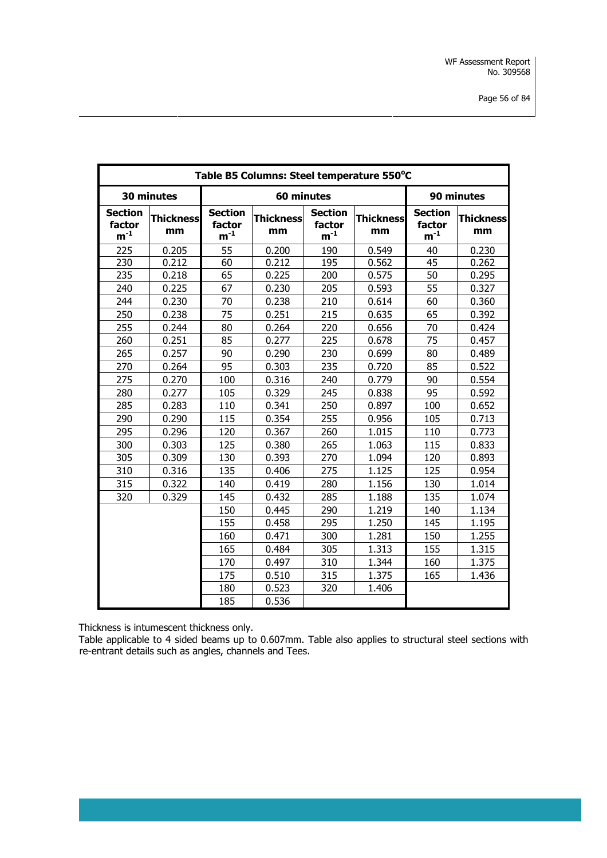| Table B5 Columns: Steel temperature 550°C |                        |                                      |                        |                                      |                        |                                      |                        |  |  |  |
|-------------------------------------------|------------------------|--------------------------------------|------------------------|--------------------------------------|------------------------|--------------------------------------|------------------------|--|--|--|
|                                           | 30 minutes             |                                      | 60 minutes             |                                      |                        |                                      | 90 minutes             |  |  |  |
| <b>Section</b><br>factor<br>$m^{-1}$      | <b>Thickness</b><br>mm | <b>Section</b><br>factor<br>$m^{-1}$ | <b>Thickness</b><br>mm | <b>Section</b><br>factor<br>$m^{-1}$ | <b>Thickness</b><br>mm | <b>Section</b><br>factor<br>$m^{-1}$ | <b>Thickness</b><br>mm |  |  |  |
| 225                                       | 0.205                  | 55                                   | 0.200                  | 190                                  | 0.549                  | 40                                   | 0.230                  |  |  |  |
| 230                                       | 0.212                  | 60                                   | 0.212                  | 195                                  | 0.562                  | $\overline{45}$                      | 0.262                  |  |  |  |
| 235                                       | 0.218                  | 65                                   | 0.225                  | 200                                  | 0.575                  | 50                                   | 0.295                  |  |  |  |
| 240                                       | 0.225                  | 67                                   | 0.230                  | 205                                  | 0.593                  | 55                                   | 0.327                  |  |  |  |
| 244                                       | 0.230                  | 70                                   | 0.238                  | 210                                  | 0.614                  | 60                                   | 0.360                  |  |  |  |
| 250                                       | 0.238                  | 75                                   | 0.251                  | 215                                  | 0.635                  | 65                                   | 0.392                  |  |  |  |
| 255                                       | 0.244                  | 80                                   | 0.264                  | 220                                  | 0.656                  | 70                                   | 0.424                  |  |  |  |
| 260                                       | 0.251                  | 85                                   | 0.277                  | 225                                  | 0.678                  | 75                                   | 0.457                  |  |  |  |
| 265                                       | 0.257                  | 90                                   | 0.290                  | 230                                  | 0.699                  | 80                                   | 0.489                  |  |  |  |
| 270                                       | 0.264                  | 95                                   | 0.303                  | 235                                  | 0.720                  | 85                                   | 0.522                  |  |  |  |
| 275                                       | 0.270                  | 100                                  | 0.316                  | 240                                  | 0.779                  | 90                                   | 0.554                  |  |  |  |
| 280                                       | 0.277                  | 105                                  | 0.329                  | 245                                  | 0.838                  | 95                                   | 0.592                  |  |  |  |
| 285                                       | 0.283                  | 110                                  | 0.341                  | 250                                  | 0.897                  | 100                                  | 0.652                  |  |  |  |
| 290                                       | 0.290                  | 115                                  | 0.354                  | 255                                  | 0.956                  | 105                                  | 0.713                  |  |  |  |
| 295                                       | 0.296                  | 120                                  | 0.367                  | 260                                  | 1.015                  | 110                                  | 0.773                  |  |  |  |
| 300                                       | 0.303                  | 125                                  | 0.380                  | 265                                  | 1.063                  | 115                                  | 0.833                  |  |  |  |
| 305                                       | 0.309                  | 130                                  | 0.393                  | 270                                  | 1.094                  | 120                                  | 0.893                  |  |  |  |
| 310                                       | 0.316                  | 135                                  | 0.406                  | 275                                  | 1.125                  | 125                                  | 0.954                  |  |  |  |
| 315                                       | 0.322                  | 140                                  | 0.419                  | 280                                  | 1.156                  | 130                                  | 1.014                  |  |  |  |
| 320                                       | 0.329                  | 145                                  | 0.432                  | 285                                  | 1.188                  | 135                                  | 1.074                  |  |  |  |
|                                           |                        | 150                                  | 0.445                  | 290                                  | 1.219                  | 140                                  | 1.134                  |  |  |  |
|                                           |                        | 155                                  | 0.458                  | 295                                  | 1.250                  | 145                                  | 1.195                  |  |  |  |
|                                           |                        | 160                                  | 0.471                  | 300                                  | 1.281                  | 150                                  | 1.255                  |  |  |  |
|                                           |                        | 165                                  | 0.484                  | 305                                  | 1.313                  | 155                                  | 1.315                  |  |  |  |
|                                           |                        | 170                                  | 0.497                  | 310                                  | 1.344                  | 160                                  | 1.375                  |  |  |  |
|                                           |                        | 175                                  | 0.510                  | 315                                  | 1.375                  | 165                                  | 1.436                  |  |  |  |
|                                           |                        |                                      | 0.523                  | 320                                  | 1.406                  |                                      |                        |  |  |  |
|                                           |                        | 185                                  | 0.536                  |                                      |                        |                                      |                        |  |  |  |

Thickness is intumescent thickness only.

Table applicable to 4 sided beams up to 0.607mm. Table also applies to structural steel sections with re-entrant details such as angles, channels and Tees.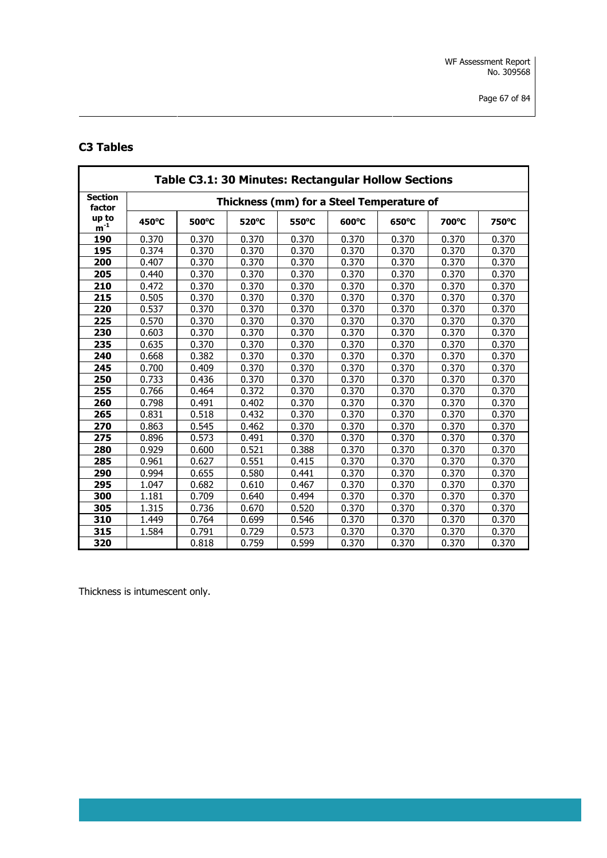# **C3 Tables**

|                          | Table C3.1: 30 Minutes: Rectangular Hollow Sections |                 |                                           |       |                 |                 |       |       |  |  |  |
|--------------------------|-----------------------------------------------------|-----------------|-------------------------------------------|-------|-----------------|-----------------|-------|-------|--|--|--|
| <b>Section</b><br>factor |                                                     |                 | Thickness (mm) for a Steel Temperature of |       |                 |                 |       |       |  |  |  |
| up to<br>$m^{-1}$        | $450^{\circ}$ C                                     | $500^{\circ}$ C | 520°C                                     | 550°C | $600^{\circ}$ C | $650^{\circ}$ C | 700°C | 750°C |  |  |  |
| 190                      | 0.370                                               | 0.370           | 0.370                                     | 0.370 | 0.370           | 0.370           | 0.370 | 0.370 |  |  |  |
| 195                      | 0.374                                               | 0.370           | 0.370                                     | 0.370 | 0.370           | 0.370           | 0.370 | 0.370 |  |  |  |
| 200                      | 0.407                                               | 0.370           | 0.370                                     | 0.370 | 0.370           | 0.370           | 0.370 | 0.370 |  |  |  |
| 205                      | 0.440                                               | 0.370           | 0.370                                     | 0.370 | 0.370           | 0.370           | 0.370 | 0.370 |  |  |  |
| 210                      | 0.472                                               | 0.370           | 0.370                                     | 0.370 | 0.370           | 0.370           | 0.370 | 0.370 |  |  |  |
| 215                      | 0.505                                               | 0.370           | 0.370                                     | 0.370 | 0.370           | 0.370           | 0.370 | 0.370 |  |  |  |
| 220                      | 0.537                                               | 0.370           | 0.370                                     | 0.370 | 0.370           | 0.370           | 0.370 | 0.370 |  |  |  |
| 225                      | 0.570                                               | 0.370           | 0.370                                     | 0.370 | 0.370           | 0.370           | 0.370 | 0.370 |  |  |  |
| 230                      | 0.603                                               | 0.370           | 0.370                                     | 0.370 | 0.370           | 0.370           | 0.370 | 0.370 |  |  |  |
| 235                      | 0.635                                               | 0.370           | 0.370                                     | 0.370 | 0.370           | 0.370           | 0.370 | 0.370 |  |  |  |
| 240                      | 0.668                                               | 0.382           | 0.370                                     | 0.370 | 0.370           | 0.370           | 0.370 | 0.370 |  |  |  |
| 245                      | 0.700                                               | 0.409           | 0.370                                     | 0.370 | 0.370           | 0.370           | 0.370 | 0.370 |  |  |  |
| 250                      | 0.733                                               | 0.436           | 0.370                                     | 0.370 | 0.370           | 0.370           | 0.370 | 0.370 |  |  |  |
| 255                      | 0.766                                               | 0.464           | 0.372                                     | 0.370 | 0.370           | 0.370           | 0.370 | 0.370 |  |  |  |
| 260                      | 0.798                                               | 0.491           | 0.402                                     | 0.370 | 0.370           | 0.370           | 0.370 | 0.370 |  |  |  |
| 265                      | 0.831                                               | 0.518           | 0.432                                     | 0.370 | 0.370           | 0.370           | 0.370 | 0.370 |  |  |  |
| 270                      | 0.863                                               | 0.545           | 0.462                                     | 0.370 | 0.370           | 0.370           | 0.370 | 0.370 |  |  |  |
| 275                      | 0.896                                               | 0.573           | 0.491                                     | 0.370 | 0.370           | 0.370           | 0.370 | 0.370 |  |  |  |
| 280                      | 0.929                                               | 0.600           | 0.521                                     | 0.388 | 0.370           | 0.370           | 0.370 | 0.370 |  |  |  |
| 285                      | 0.961                                               | 0.627           | 0.551                                     | 0.415 | 0.370           | 0.370           | 0.370 | 0.370 |  |  |  |
| 290                      | 0.994                                               | 0.655           | 0.580                                     | 0.441 | 0.370           | 0.370           | 0.370 | 0.370 |  |  |  |
| 295                      | 1.047                                               | 0.682           | 0.610                                     | 0.467 | 0.370           | 0.370           | 0.370 | 0.370 |  |  |  |
| 300                      | 1.181                                               | 0.709           | 0.640                                     | 0.494 | 0.370           | 0.370           | 0.370 | 0.370 |  |  |  |
| 305                      | 1.315                                               | 0.736           | 0.670                                     | 0.520 | 0.370           | 0.370           | 0.370 | 0.370 |  |  |  |
| 310                      | 1.449                                               | 0.764           | 0.699                                     | 0.546 | 0.370           | 0.370           | 0.370 | 0.370 |  |  |  |
| 315                      | 1.584                                               | 0.791           | 0.729                                     | 0.573 | 0.370           | 0.370           | 0.370 | 0.370 |  |  |  |
| 320                      |                                                     | 0.818           | 0.759                                     | 0.599 | 0.370           | 0.370           | 0.370 | 0.370 |  |  |  |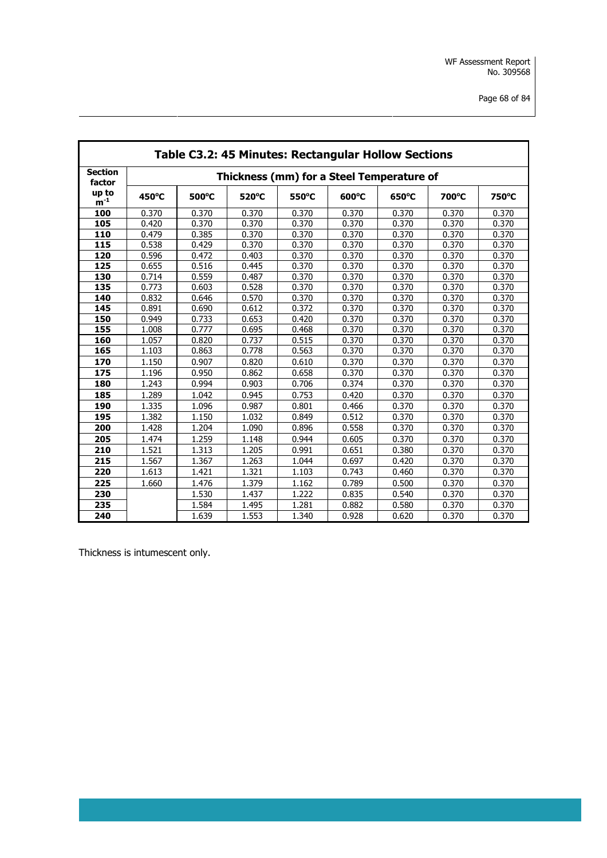|                 |       |       |       |       | Table C3.2: 45 Minutes: Rectangular Hollow Sections |                 |       |       |
|-----------------|-------|-------|-------|-------|-----------------------------------------------------|-----------------|-------|-------|
| <b>Section</b>  |       |       |       |       | Thickness (mm) for a Steel Temperature of           |                 |       |       |
| factor<br>up to |       |       |       |       |                                                     |                 |       |       |
| $m^{-1}$        | 450°C | 500°C | 520°C | 550°C | 600°C                                               | $650^{\circ}$ C | 700°C | 750°C |
| 100             | 0.370 | 0.370 | 0.370 | 0.370 | 0.370                                               | 0.370           | 0.370 | 0.370 |
| 105             | 0.420 | 0.370 | 0.370 | 0.370 | 0.370                                               | 0.370           | 0.370 | 0.370 |
| 110             | 0.479 | 0.385 | 0.370 | 0.370 | 0.370                                               | 0.370           | 0.370 | 0.370 |
| 115             | 0.538 | 0.429 | 0.370 | 0.370 | 0.370                                               | 0.370           | 0.370 | 0.370 |
| 120             | 0.596 | 0.472 | 0.403 | 0.370 | 0.370                                               | 0.370           | 0.370 | 0.370 |
| 125             | 0.655 | 0.516 | 0.445 | 0.370 | 0.370                                               | 0.370           | 0.370 | 0.370 |
| 130             | 0.714 | 0.559 | 0.487 | 0.370 | 0.370                                               | 0.370           | 0.370 | 0.370 |
| 135             | 0.773 | 0.603 | 0.528 | 0.370 | 0.370                                               | 0.370           | 0.370 | 0.370 |
| 140             | 0.832 | 0.646 | 0.570 | 0.370 | 0.370                                               | 0.370           | 0.370 | 0.370 |
| 145             | 0.891 | 0.690 | 0.612 | 0.372 | 0.370                                               | 0.370           | 0.370 | 0.370 |
| 150             | 0.949 | 0.733 | 0.653 | 0.420 | 0.370                                               | 0.370           | 0.370 | 0.370 |
| 155             | 1.008 | 0.777 | 0.695 | 0.468 | 0.370                                               | 0.370           | 0.370 | 0.370 |
| 160             | 1.057 | 0.820 | 0.737 | 0.515 | 0.370                                               | 0.370           | 0.370 | 0.370 |
| 165             | 1.103 | 0.863 | 0.778 | 0.563 | 0.370                                               | 0.370           | 0.370 | 0.370 |
| 170             | 1.150 | 0.907 | 0.820 | 0.610 | 0.370                                               | 0.370           | 0.370 | 0.370 |
| 175             | 1.196 | 0.950 | 0.862 | 0.658 | 0.370                                               | 0.370           | 0.370 | 0.370 |
| 180             | 1.243 | 0.994 | 0.903 | 0.706 | 0.374                                               | 0.370           | 0.370 | 0.370 |
| 185             | 1.289 | 1.042 | 0.945 | 0.753 | 0.420                                               | 0.370           | 0.370 | 0.370 |
| 190             | 1.335 | 1.096 | 0.987 | 0.801 | 0.466                                               | 0.370           | 0.370 | 0.370 |
| 195             | 1.382 | 1.150 | 1.032 | 0.849 | 0.512                                               | 0.370           | 0.370 | 0.370 |
| 200             | 1.428 | 1.204 | 1.090 | 0.896 | 0.558                                               | 0.370           | 0.370 | 0.370 |
| 205             | 1.474 | 1.259 | 1.148 | 0.944 | 0.605                                               | 0.370           | 0.370 | 0.370 |
| 210             | 1.521 | 1.313 | 1.205 | 0.991 | 0.651                                               | 0.380           | 0.370 | 0.370 |
| 215             | 1.567 | 1.367 | 1.263 | 1.044 | 0.697                                               | 0.420           | 0.370 | 0.370 |
| 220             | 1.613 | 1.421 | 1.321 | 1.103 | 0.743                                               | 0.460           | 0.370 | 0.370 |
| 225             | 1.660 | 1.476 | 1.379 | 1.162 | 0.789                                               | 0.500           | 0.370 | 0.370 |
| 230             |       | 1.530 | 1.437 | 1.222 | 0.835                                               | 0.540           | 0.370 | 0.370 |
| 235             |       | 1.584 | 1.495 | 1.281 | 0.882                                               | 0.580           | 0.370 | 0.370 |
| 240             |       | 1.639 | 1.553 | 1.340 | 0.928                                               | 0.620           | 0.370 | 0.370 |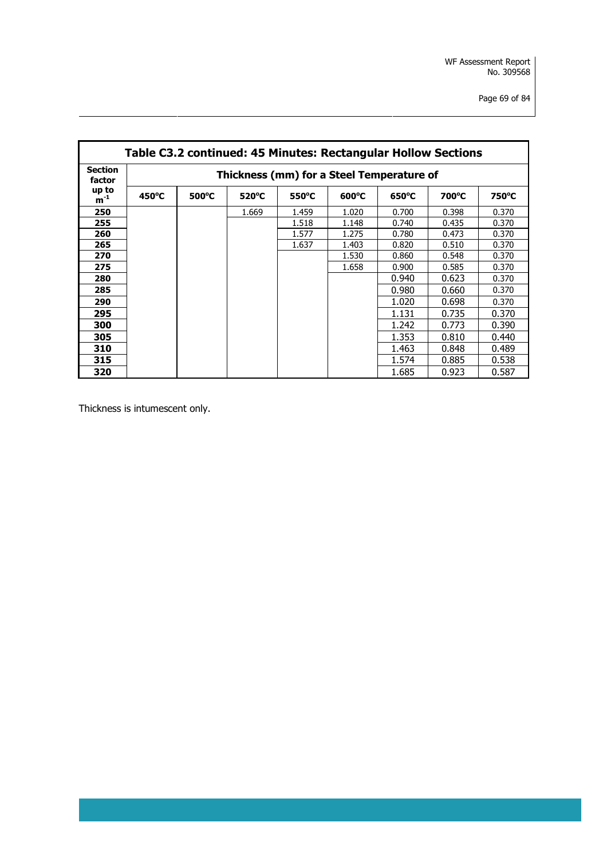| Table C3.2 continued: 45 Minutes: Rectangular Hollow Sections |                                           |                 |                 |                 |                 |                 |       |       |  |
|---------------------------------------------------------------|-------------------------------------------|-----------------|-----------------|-----------------|-----------------|-----------------|-------|-------|--|
| <b>Section</b><br>factor                                      | Thickness (mm) for a Steel Temperature of |                 |                 |                 |                 |                 |       |       |  |
| up to<br>$m^{-1}$                                             | $450^{\circ}$ C                           | $500^{\circ}$ C | $520^{\circ}$ C | $550^{\circ}$ C | $600^{\circ}$ C | $650^{\circ}$ C | 700°C | 750°C |  |
| 250                                                           |                                           |                 | 1.669           | 1.459           | 1.020           | 0.700           | 0.398 | 0.370 |  |
| 255                                                           |                                           |                 |                 | 1.518           | 1.148           | 0.740           | 0.435 | 0.370 |  |
| 260                                                           |                                           |                 |                 | 1.577           | 1.275           | 0.780           | 0.473 | 0.370 |  |
| 265                                                           |                                           |                 |                 | 1.637           | 1.403           | 0.820           | 0.510 | 0.370 |  |
| 270                                                           |                                           |                 |                 |                 | 1.530           | 0.860           | 0.548 | 0.370 |  |
| 275                                                           |                                           |                 |                 |                 | 1.658           | 0.900           | 0.585 | 0.370 |  |
| 280                                                           |                                           |                 |                 |                 |                 | 0.940           | 0.623 | 0.370 |  |
| 285                                                           |                                           |                 |                 |                 |                 | 0.980           | 0.660 | 0.370 |  |
| 290                                                           |                                           |                 |                 |                 |                 | 1.020           | 0.698 | 0.370 |  |
| 295                                                           |                                           |                 |                 |                 |                 | 1.131           | 0.735 | 0.370 |  |
| 300                                                           |                                           |                 |                 |                 |                 | 1.242           | 0.773 | 0.390 |  |
| 305                                                           |                                           |                 |                 |                 |                 | 1.353           | 0.810 | 0.440 |  |
| 310                                                           |                                           |                 |                 |                 |                 | 1.463           | 0.848 | 0.489 |  |
| 315                                                           |                                           |                 |                 |                 |                 | 1.574           | 0.885 | 0.538 |  |
| 320                                                           |                                           |                 |                 |                 |                 | 1.685           | 0.923 | 0.587 |  |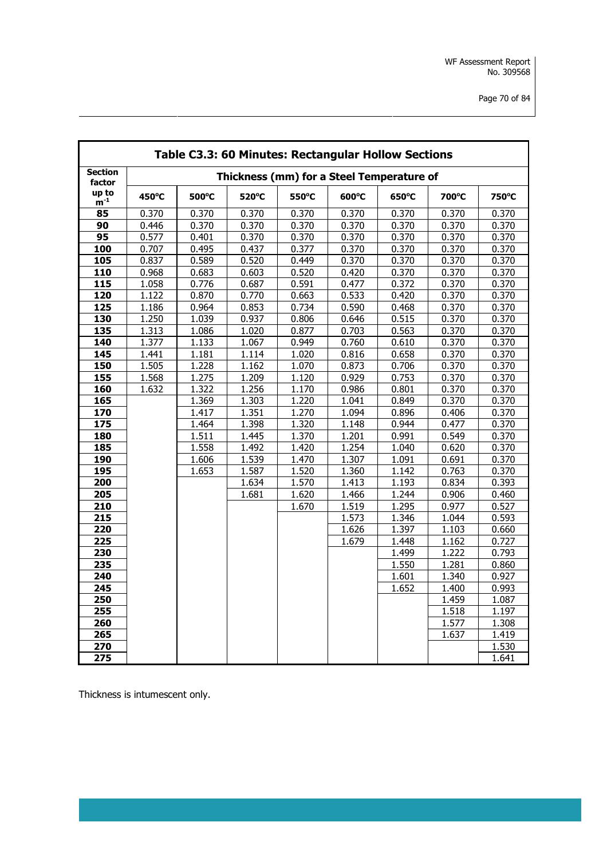|                          | Table C3.3: 60 Minutes: Rectangular Hollow Sections |       |                                           |       |       |       |       |       |  |  |
|--------------------------|-----------------------------------------------------|-------|-------------------------------------------|-------|-------|-------|-------|-------|--|--|
| <b>Section</b><br>factor |                                                     |       | Thickness (mm) for a Steel Temperature of |       |       |       |       |       |  |  |
| up to<br>$m^{-1}$        | 450°C                                               | 500°C | 520°C                                     | 550°C | 600°C | 650°C | 700°C | 750°C |  |  |
| 85                       | 0.370                                               | 0.370 | 0.370                                     | 0.370 | 0.370 | 0.370 | 0.370 | 0.370 |  |  |
| 90                       | 0.446                                               | 0.370 | 0.370                                     | 0.370 | 0.370 | 0.370 | 0.370 | 0.370 |  |  |
| 95                       | 0.577                                               | 0.401 | 0.370                                     | 0.370 | 0.370 | 0.370 | 0.370 | 0.370 |  |  |
| 100                      | 0.707                                               | 0.495 | 0.437                                     | 0.377 | 0.370 | 0.370 | 0.370 | 0.370 |  |  |
| 105                      | 0.837                                               | 0.589 | 0.520                                     | 0.449 | 0.370 | 0.370 | 0.370 | 0.370 |  |  |
| 110                      | 0.968                                               | 0.683 | 0.603                                     | 0.520 | 0.420 | 0.370 | 0.370 | 0.370 |  |  |
| 115                      | 1.058                                               | 0.776 | 0.687                                     | 0.591 | 0.477 | 0.372 | 0.370 | 0.370 |  |  |
| 120                      | 1.122                                               | 0.870 | 0.770                                     | 0.663 | 0.533 | 0.420 | 0.370 | 0.370 |  |  |
| 125                      | 1.186                                               | 0.964 | 0.853                                     | 0.734 | 0.590 | 0.468 | 0.370 | 0.370 |  |  |
| 130                      | 1.250                                               | 1.039 | 0.937                                     | 0.806 | 0.646 | 0.515 | 0.370 | 0.370 |  |  |
| 135                      | 1.313                                               | 1.086 | 1.020                                     | 0.877 | 0.703 | 0.563 | 0.370 | 0.370 |  |  |
| 140                      | 1.377                                               | 1.133 | 1.067                                     | 0.949 | 0.760 | 0.610 | 0.370 | 0.370 |  |  |
| 145                      | 1.441                                               | 1.181 | 1.114                                     | 1.020 | 0.816 | 0.658 | 0.370 | 0.370 |  |  |
| 150                      | 1.505                                               | 1.228 | 1.162                                     | 1.070 | 0.873 | 0.706 | 0.370 | 0.370 |  |  |
| 155                      | 1.568                                               | 1.275 | 1.209                                     | 1.120 | 0.929 | 0.753 | 0.370 | 0.370 |  |  |
| 160                      | 1.632                                               | 1.322 | 1.256                                     | 1.170 | 0.986 | 0.801 | 0.370 | 0.370 |  |  |
| 165                      |                                                     | 1.369 | 1.303                                     | 1.220 | 1.041 | 0.849 | 0.370 | 0.370 |  |  |
| 170                      |                                                     | 1.417 | 1.351                                     | 1.270 | 1.094 | 0.896 | 0.406 | 0.370 |  |  |
| 175                      |                                                     | 1.464 | 1.398                                     | 1.320 | 1.148 | 0.944 | 0.477 | 0.370 |  |  |
| 180                      |                                                     | 1.511 | 1.445                                     | 1.370 | 1.201 | 0.991 | 0.549 | 0.370 |  |  |
| 185                      |                                                     | 1.558 | 1.492                                     | 1.420 | 1.254 | 1.040 | 0.620 | 0.370 |  |  |
| 190                      |                                                     | 1.606 | 1.539                                     | 1.470 | 1.307 | 1.091 | 0.691 | 0.370 |  |  |
| 195                      |                                                     | 1.653 | 1.587                                     | 1.520 | 1.360 | 1.142 | 0.763 | 0.370 |  |  |
| 200                      |                                                     |       | 1.634                                     | 1.570 | 1.413 | 1.193 | 0.834 | 0.393 |  |  |
| 205                      |                                                     |       | 1.681                                     | 1.620 | 1.466 | 1.244 | 0.906 | 0.460 |  |  |
| 210                      |                                                     |       |                                           | 1.670 | 1.519 | 1.295 | 0.977 | 0.527 |  |  |
| 215                      |                                                     |       |                                           |       | 1.573 | 1.346 | 1.044 | 0.593 |  |  |
| 220                      |                                                     |       |                                           |       | 1.626 | 1.397 | 1.103 | 0.660 |  |  |
| 225                      |                                                     |       |                                           |       | 1.679 | 1.448 | 1.162 | 0.727 |  |  |
| 230                      |                                                     |       |                                           |       |       | 1.499 | 1.222 | 0.793 |  |  |
| 235                      |                                                     |       |                                           |       |       | 1.550 | 1.281 | 0.860 |  |  |
| 240                      |                                                     |       |                                           |       |       | 1.601 | 1.340 | 0.927 |  |  |
| 245                      |                                                     |       |                                           |       |       | 1.652 | 1.400 | 0.993 |  |  |
| 250                      |                                                     |       |                                           |       |       |       | 1.459 | 1.087 |  |  |
| 255                      |                                                     |       |                                           |       |       |       | 1.518 | 1.197 |  |  |
| 260                      |                                                     |       |                                           |       |       |       | 1.577 | 1.308 |  |  |
| 265                      |                                                     |       |                                           |       |       |       | 1.637 | 1.419 |  |  |
| 270                      |                                                     |       |                                           |       |       |       |       | 1.530 |  |  |
| 275                      |                                                     |       |                                           |       |       |       |       | 1.641 |  |  |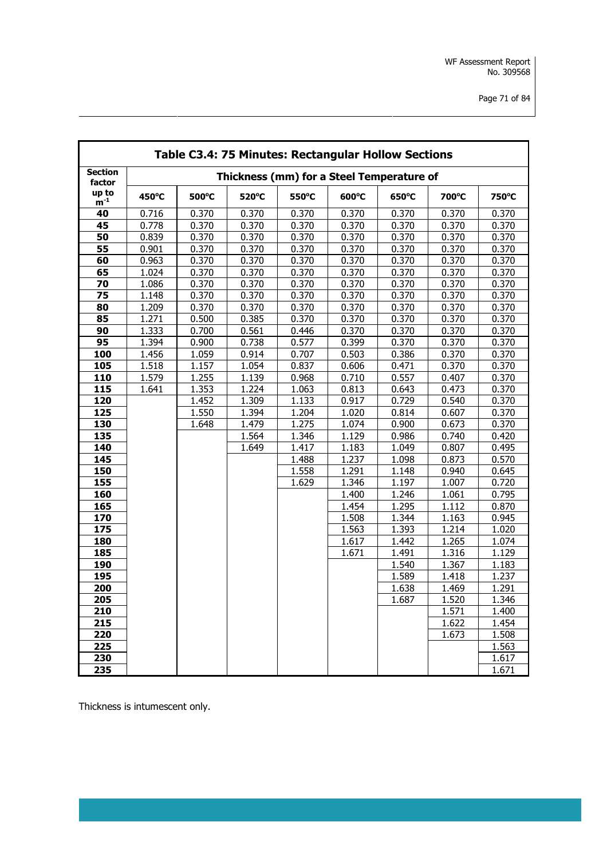|                          | Table C3.4: 75 Minutes: Rectangular Hollow Sections |       |       |       |                                           |       |       |       |  |  |
|--------------------------|-----------------------------------------------------|-------|-------|-------|-------------------------------------------|-------|-------|-------|--|--|
| <b>Section</b><br>factor |                                                     |       |       |       | Thickness (mm) for a Steel Temperature of |       |       |       |  |  |
| up to<br>$m^{-1}$        | 450°C                                               | 500°C | 520°C | 550°C | 600°C                                     | 650°C | 700°C | 750°C |  |  |
| 40                       | 0.716                                               | 0.370 | 0.370 | 0.370 | 0.370                                     | 0.370 | 0.370 | 0.370 |  |  |
| 45                       | 0.778                                               | 0.370 | 0.370 | 0.370 | 0.370                                     | 0.370 | 0.370 | 0.370 |  |  |
| 50                       | 0.839                                               | 0.370 | 0.370 | 0.370 | 0.370                                     | 0.370 | 0.370 | 0.370 |  |  |
| 55                       | 0.901                                               | 0.370 | 0.370 | 0.370 | 0.370                                     | 0.370 | 0.370 | 0.370 |  |  |
| 60                       | 0.963                                               | 0.370 | 0.370 | 0.370 | 0.370                                     | 0.370 | 0.370 | 0.370 |  |  |
| 65                       | 1.024                                               | 0.370 | 0.370 | 0.370 | 0.370                                     | 0.370 | 0.370 | 0.370 |  |  |
| 70                       | 1.086                                               | 0.370 | 0.370 | 0.370 | 0.370                                     | 0.370 | 0.370 | 0.370 |  |  |
| 75                       | 1.148                                               | 0.370 | 0.370 | 0.370 | 0.370                                     | 0.370 | 0.370 | 0.370 |  |  |
| 80                       | 1.209                                               | 0.370 | 0.370 | 0.370 | 0.370                                     | 0.370 | 0.370 | 0.370 |  |  |
| 85                       | 1.271                                               | 0.500 | 0.385 | 0.370 | 0.370                                     | 0.370 | 0.370 | 0.370 |  |  |
| 90                       | 1.333                                               | 0.700 | 0.561 | 0.446 | 0.370                                     | 0.370 | 0.370 | 0.370 |  |  |
| 95                       | 1.394                                               | 0.900 | 0.738 | 0.577 | 0.399                                     | 0.370 | 0.370 | 0.370 |  |  |
| 100                      | 1.456                                               | 1.059 | 0.914 | 0.707 | 0.503                                     | 0.386 | 0.370 | 0.370 |  |  |
| 105                      | 1.518                                               | 1.157 | 1.054 | 0.837 | 0.606                                     | 0.471 | 0.370 | 0.370 |  |  |
| 110                      | 1.579                                               | 1.255 | 1.139 | 0.968 | 0.710                                     | 0.557 | 0.407 | 0.370 |  |  |
| 115                      | 1.641                                               | 1.353 | 1.224 | 1.063 | 0.813                                     | 0.643 | 0.473 | 0.370 |  |  |
| 120                      |                                                     | 1.452 | 1.309 | 1.133 | 0.917                                     | 0.729 | 0.540 | 0.370 |  |  |
| 125                      |                                                     | 1.550 | 1.394 | 1.204 | 1.020                                     | 0.814 | 0.607 | 0.370 |  |  |
| 130                      |                                                     | 1.648 | 1.479 | 1.275 | 1.074                                     | 0.900 | 0.673 | 0.370 |  |  |
| 135                      |                                                     |       | 1.564 | 1.346 | 1.129                                     | 0.986 | 0.740 | 0.420 |  |  |
| 140                      |                                                     |       | 1.649 | 1.417 | 1.183                                     | 1.049 | 0.807 | 0.495 |  |  |
| 145                      |                                                     |       |       | 1.488 | 1.237                                     | 1.098 | 0.873 | 0.570 |  |  |
| 150                      |                                                     |       |       | 1.558 | 1.291                                     | 1.148 | 0.940 | 0.645 |  |  |
| 155                      |                                                     |       |       | 1.629 | 1.346                                     | 1.197 | 1.007 | 0.720 |  |  |
| 160                      |                                                     |       |       |       | 1.400                                     | 1.246 | 1.061 | 0.795 |  |  |
| 165                      |                                                     |       |       |       | 1.454                                     | 1.295 | 1.112 | 0.870 |  |  |
| 170                      |                                                     |       |       |       | 1.508                                     | 1.344 | 1.163 | 0.945 |  |  |
| 175                      |                                                     |       |       |       | 1.563                                     | 1.393 | 1.214 | 1.020 |  |  |
| 180                      |                                                     |       |       |       | 1.617                                     | 1.442 | 1.265 | 1.074 |  |  |
| 185                      |                                                     |       |       |       | 1.671                                     | 1.491 | 1.316 | 1.129 |  |  |
| 190                      |                                                     |       |       |       |                                           | 1.540 | 1.367 | 1.183 |  |  |
| 195                      |                                                     |       |       |       |                                           | 1.589 | 1.418 | 1.237 |  |  |
| 200                      |                                                     |       |       |       |                                           | 1.638 | 1.469 | 1.291 |  |  |
| 205                      |                                                     |       |       |       |                                           | 1.687 | 1.520 | 1.346 |  |  |
| 210                      |                                                     |       |       |       |                                           |       | 1.571 | 1.400 |  |  |
| 215                      |                                                     |       |       |       |                                           |       | 1.622 | 1.454 |  |  |
| 220                      |                                                     |       |       |       |                                           |       | 1.673 | 1.508 |  |  |
| 225                      |                                                     |       |       |       |                                           |       |       | 1.563 |  |  |
| 230                      |                                                     |       |       |       |                                           |       |       | 1.617 |  |  |
| 235                      |                                                     |       |       |       |                                           |       |       | 1.671 |  |  |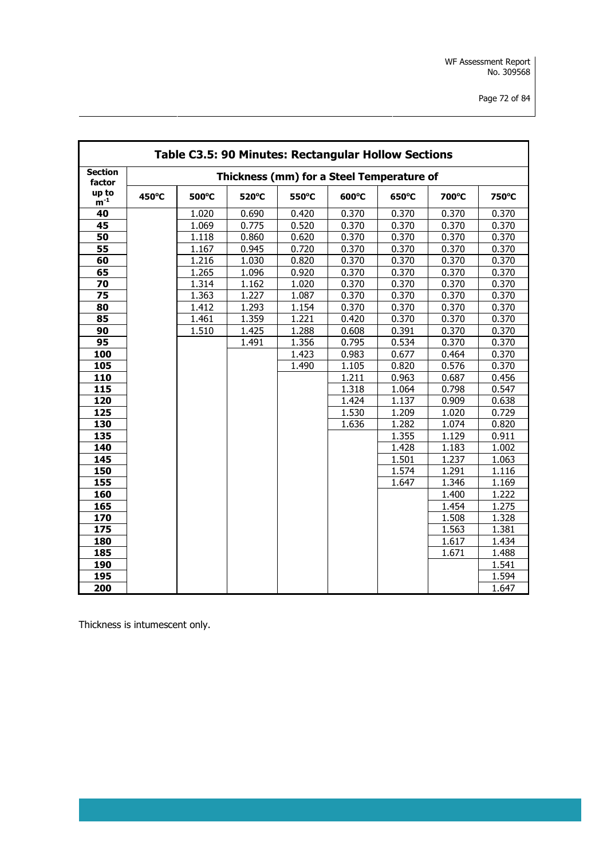|                          |       |       |       |       | Table C3.5: 90 Minutes: Rectangular Hollow Sections |       |       |       |
|--------------------------|-------|-------|-------|-------|-----------------------------------------------------|-------|-------|-------|
| <b>Section</b><br>factor |       |       |       |       | Thickness (mm) for a Steel Temperature of           |       |       |       |
| up to<br>$m^{-1}$        | 450°C | 500°C | 520°C | 550°C | 600°C                                               | 650°C | 700°C | 750°C |
| 40                       |       | 1.020 | 0.690 | 0.420 | 0.370                                               | 0.370 | 0.370 | 0.370 |
| 45                       |       | 1.069 | 0.775 | 0.520 | 0.370                                               | 0.370 | 0.370 | 0.370 |
| 50                       |       | 1.118 | 0.860 | 0.620 | 0.370                                               | 0.370 | 0.370 | 0.370 |
| 55                       |       | 1.167 | 0.945 | 0.720 | 0.370                                               | 0.370 | 0.370 | 0.370 |
| 60                       |       | 1.216 | 1.030 | 0.820 | 0.370                                               | 0.370 | 0.370 | 0.370 |
| 65                       |       | 1.265 | 1.096 | 0.920 | 0.370                                               | 0.370 | 0.370 | 0.370 |
| 70                       |       | 1.314 | 1.162 | 1.020 | 0.370                                               | 0.370 | 0.370 | 0.370 |
| 75                       |       | 1.363 | 1.227 | 1.087 | 0.370                                               | 0.370 | 0.370 | 0.370 |
| 80                       |       | 1.412 | 1.293 | 1.154 | 0.370                                               | 0.370 | 0.370 | 0.370 |
| 85                       |       | 1.461 | 1.359 | 1.221 | 0.420                                               | 0.370 | 0.370 | 0.370 |
| 90                       |       | 1.510 | 1.425 | 1.288 | 0.608                                               | 0.391 | 0.370 | 0.370 |
| 95                       |       |       | 1.491 | 1.356 | 0.795                                               | 0.534 | 0.370 | 0.370 |
| 100                      |       |       |       | 1.423 | 0.983                                               | 0.677 | 0.464 | 0.370 |
| 105                      |       |       |       | 1.490 | 1.105                                               | 0.820 | 0.576 | 0.370 |
| 110                      |       |       |       |       | 1.211                                               | 0.963 | 0.687 | 0.456 |
| 115                      |       |       |       |       | 1.318                                               | 1.064 | 0.798 | 0.547 |
| 120                      |       |       |       |       | 1.424                                               | 1.137 | 0.909 | 0.638 |
| 125                      |       |       |       |       | 1.530                                               | 1.209 | 1.020 | 0.729 |
| 130                      |       |       |       |       | 1.636                                               | 1.282 | 1.074 | 0.820 |
| 135                      |       |       |       |       |                                                     | 1.355 | 1.129 | 0.911 |
| 140                      |       |       |       |       |                                                     | 1.428 | 1.183 | 1.002 |
| 145                      |       |       |       |       |                                                     | 1.501 | 1.237 | 1.063 |
| 150                      |       |       |       |       |                                                     | 1.574 | 1.291 | 1.116 |
| 155                      |       |       |       |       |                                                     | 1.647 | 1.346 | 1.169 |
| 160                      |       |       |       |       |                                                     |       | 1.400 | 1.222 |
| 165                      |       |       |       |       |                                                     |       | 1.454 | 1.275 |
| 170                      |       |       |       |       |                                                     |       | 1.508 | 1.328 |
| 175                      |       |       |       |       |                                                     |       | 1.563 | 1.381 |
| 180                      |       |       |       |       |                                                     |       | 1.617 | 1.434 |
| 185                      |       |       |       |       |                                                     |       | 1.671 | 1.488 |
| 190                      |       |       |       |       |                                                     |       |       | 1.541 |
| 195                      |       |       |       |       |                                                     |       |       | 1.594 |
| 200                      |       |       |       |       |                                                     |       |       | 1.647 |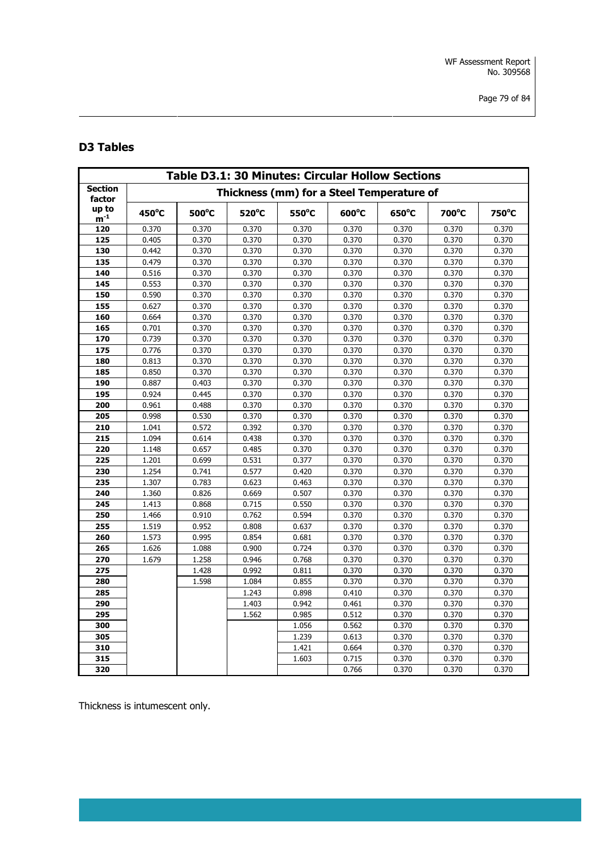# **D3 Tables**

| <b>Table D3.1: 30 Minutes: Circular Hollow Sections</b> |       |       |       |       |                                           |       |       |       |  |  |
|---------------------------------------------------------|-------|-------|-------|-------|-------------------------------------------|-------|-------|-------|--|--|
| <b>Section</b><br>factor                                |       |       |       |       | Thickness (mm) for a Steel Temperature of |       |       |       |  |  |
| up to<br>${\rm m}^{\text{-}1}$                          | 450°C | 500°C | 520°C | 550°C | 600°C                                     | 650°C | 700°C | 750°C |  |  |
| 120                                                     | 0.370 | 0.370 | 0.370 | 0.370 | 0.370                                     | 0.370 | 0.370 | 0.370 |  |  |
| 125                                                     | 0.405 | 0.370 | 0.370 | 0.370 | 0.370                                     | 0.370 | 0.370 | 0.370 |  |  |
| 130                                                     | 0.442 | 0.370 | 0.370 | 0.370 | 0.370                                     | 0.370 | 0.370 | 0.370 |  |  |
| 135                                                     | 0.479 | 0.370 | 0.370 | 0.370 | 0.370                                     | 0.370 | 0.370 | 0.370 |  |  |
| 140                                                     | 0.516 | 0.370 | 0.370 | 0.370 | 0.370                                     | 0.370 | 0.370 | 0.370 |  |  |
| 145                                                     | 0.553 | 0.370 | 0.370 | 0.370 | 0.370                                     | 0.370 | 0.370 | 0.370 |  |  |
| 150                                                     | 0.590 | 0.370 | 0.370 | 0.370 | 0.370                                     | 0.370 | 0.370 | 0.370 |  |  |
| 155                                                     | 0.627 | 0.370 | 0.370 | 0.370 | 0.370                                     | 0.370 | 0.370 | 0.370 |  |  |
| 160                                                     | 0.664 | 0.370 | 0.370 | 0.370 | 0.370                                     | 0.370 | 0.370 | 0.370 |  |  |
| 165                                                     | 0.701 | 0.370 | 0.370 | 0.370 | 0.370                                     | 0.370 | 0.370 | 0.370 |  |  |
| 170                                                     | 0.739 | 0.370 | 0.370 | 0.370 | 0.370                                     | 0.370 | 0.370 | 0.370 |  |  |
| 175                                                     | 0.776 | 0.370 | 0.370 | 0.370 | 0.370                                     | 0.370 | 0.370 | 0.370 |  |  |
| 180                                                     | 0.813 | 0.370 | 0.370 | 0.370 | 0.370                                     | 0.370 | 0.370 | 0.370 |  |  |
| 185                                                     | 0.850 | 0.370 | 0.370 | 0.370 | 0.370                                     | 0.370 | 0.370 | 0.370 |  |  |
| 190                                                     | 0.887 | 0.403 | 0.370 | 0.370 | 0.370                                     | 0.370 | 0.370 | 0.370 |  |  |
| 195                                                     | 0.924 | 0.445 | 0.370 | 0.370 | 0.370                                     | 0.370 | 0.370 | 0.370 |  |  |
| 200                                                     | 0.961 | 0.488 | 0.370 | 0.370 | 0.370                                     | 0.370 | 0.370 | 0.370 |  |  |
| 205                                                     | 0.998 | 0.530 | 0.370 | 0.370 | 0.370                                     | 0.370 | 0.370 | 0.370 |  |  |
| 210                                                     | 1.041 | 0.572 | 0.392 | 0.370 | 0.370                                     | 0.370 | 0.370 | 0.370 |  |  |
| 215                                                     | 1.094 | 0.614 | 0.438 | 0.370 | 0.370                                     | 0.370 | 0.370 | 0.370 |  |  |
| 220                                                     | 1.148 | 0.657 | 0.485 | 0.370 | 0.370                                     | 0.370 | 0.370 | 0.370 |  |  |
| 225                                                     | 1.201 | 0.699 | 0.531 | 0.377 | 0.370                                     | 0.370 | 0.370 | 0.370 |  |  |
| 230                                                     | 1.254 | 0.741 | 0.577 | 0.420 | 0.370                                     | 0.370 | 0.370 | 0.370 |  |  |
| 235                                                     | 1.307 | 0.783 | 0.623 | 0.463 | 0.370                                     | 0.370 | 0.370 | 0.370 |  |  |
| 240                                                     | 1.360 | 0.826 | 0.669 | 0.507 | 0.370                                     | 0.370 | 0.370 | 0.370 |  |  |
| 245                                                     | 1.413 | 0.868 | 0.715 | 0.550 | 0.370                                     | 0.370 | 0.370 | 0.370 |  |  |
| 250                                                     | 1.466 | 0.910 | 0.762 | 0.594 | 0.370                                     | 0.370 | 0.370 | 0.370 |  |  |
| 255                                                     | 1.519 | 0.952 | 0.808 | 0.637 | 0.370                                     | 0.370 | 0.370 | 0.370 |  |  |
| 260                                                     | 1.573 | 0.995 | 0.854 | 0.681 | 0.370                                     | 0.370 | 0.370 | 0.370 |  |  |
| 265                                                     | 1.626 | 1.088 | 0.900 | 0.724 | 0.370                                     | 0.370 | 0.370 | 0.370 |  |  |
| 270                                                     | 1.679 | 1.258 | 0.946 | 0.768 | 0.370                                     | 0.370 | 0.370 | 0.370 |  |  |
| 275                                                     |       | 1.428 | 0.992 | 0.811 | 0.370                                     | 0.370 | 0.370 | 0.370 |  |  |
| 280                                                     |       | 1.598 | 1.084 | 0.855 | 0.370                                     | 0.370 | 0.370 | 0.370 |  |  |
| 285                                                     |       |       | 1.243 | 0.898 | 0.410                                     | 0.370 | 0.370 | 0.370 |  |  |
| 290                                                     |       |       | 1.403 | 0.942 | 0.461                                     | 0.370 | 0.370 | 0.370 |  |  |
| 295                                                     |       |       | 1.562 | 0.985 | 0.512                                     | 0.370 | 0.370 | 0.370 |  |  |
| 300                                                     |       |       |       | 1.056 | 0.562                                     | 0.370 | 0.370 | 0.370 |  |  |
| 305                                                     |       |       |       | 1.239 | 0.613                                     | 0.370 | 0.370 | 0.370 |  |  |
| 310                                                     |       |       |       | 1.421 | 0.664                                     | 0.370 | 0.370 | 0.370 |  |  |
| 315                                                     |       |       |       | 1.603 | 0.715                                     | 0.370 | 0.370 | 0.370 |  |  |
| 320                                                     |       |       |       |       | 0.766                                     | 0.370 | 0.370 | 0.370 |  |  |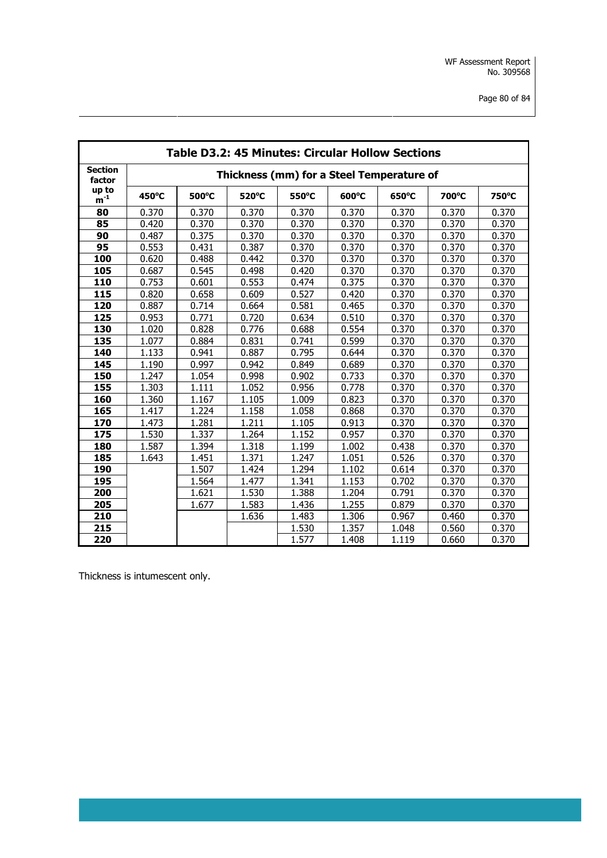|                          | <b>Table D3.2: 45 Minutes: Circular Hollow Sections</b> |       |       |       |                                           |       |       |       |  |  |
|--------------------------|---------------------------------------------------------|-------|-------|-------|-------------------------------------------|-------|-------|-------|--|--|
| <b>Section</b><br>factor |                                                         |       |       |       | Thickness (mm) for a Steel Temperature of |       |       |       |  |  |
| up to<br>$m^{-1}$        | 450°C                                                   | 500°C | 520°C | 550°C | 600°C                                     | 650°C | 700°C | 750°C |  |  |
| 80                       | 0.370                                                   | 0.370 | 0.370 | 0.370 | 0.370                                     | 0.370 | 0.370 | 0.370 |  |  |
| 85                       | 0.420                                                   | 0.370 | 0.370 | 0.370 | 0.370                                     | 0.370 | 0.370 | 0.370 |  |  |
| 90                       | 0.487                                                   | 0.375 | 0.370 | 0.370 | 0.370                                     | 0.370 | 0.370 | 0.370 |  |  |
| 95                       | 0.553                                                   | 0.431 | 0.387 | 0.370 | 0.370                                     | 0.370 | 0.370 | 0.370 |  |  |
| 100                      | 0.620                                                   | 0.488 | 0.442 | 0.370 | 0.370                                     | 0.370 | 0.370 | 0.370 |  |  |
| 105                      | 0.687                                                   | 0.545 | 0.498 | 0.420 | 0.370                                     | 0.370 | 0.370 | 0.370 |  |  |
| 110                      | 0.753                                                   | 0.601 | 0.553 | 0.474 | 0.375                                     | 0.370 | 0.370 | 0.370 |  |  |
| 115                      | 0.820                                                   | 0.658 | 0.609 | 0.527 | 0.420                                     | 0.370 | 0.370 | 0.370 |  |  |
| 120                      | 0.887                                                   | 0.714 | 0.664 | 0.581 | 0.465                                     | 0.370 | 0.370 | 0.370 |  |  |
| 125                      | 0.953                                                   | 0.771 | 0.720 | 0.634 | 0.510                                     | 0.370 | 0.370 | 0.370 |  |  |
| 130                      | 1.020                                                   | 0.828 | 0.776 | 0.688 | 0.554                                     | 0.370 | 0.370 | 0.370 |  |  |
| 135                      | 1.077                                                   | 0.884 | 0.831 | 0.741 | 0.599                                     | 0.370 | 0.370 | 0.370 |  |  |
| 140                      | 1.133                                                   | 0.941 | 0.887 | 0.795 | 0.644                                     | 0.370 | 0.370 | 0.370 |  |  |
| 145                      | 1.190                                                   | 0.997 | 0.942 | 0.849 | 0.689                                     | 0.370 | 0.370 | 0.370 |  |  |
| 150                      | 1.247                                                   | 1.054 | 0.998 | 0.902 | 0.733                                     | 0.370 | 0.370 | 0.370 |  |  |
| 155                      | 1.303                                                   | 1.111 | 1.052 | 0.956 | 0.778                                     | 0.370 | 0.370 | 0.370 |  |  |
| 160                      | 1.360                                                   | 1.167 | 1.105 | 1.009 | 0.823                                     | 0.370 | 0.370 | 0.370 |  |  |
| 165                      | 1.417                                                   | 1.224 | 1.158 | 1.058 | 0.868                                     | 0.370 | 0.370 | 0.370 |  |  |
| 170                      | 1.473                                                   | 1.281 | 1.211 | 1.105 | 0.913                                     | 0.370 | 0.370 | 0.370 |  |  |
| 175                      | 1.530                                                   | 1.337 | 1.264 | 1.152 | 0.957                                     | 0.370 | 0.370 | 0.370 |  |  |
| 180                      | 1.587                                                   | 1.394 | 1.318 | 1.199 | 1.002                                     | 0.438 | 0.370 | 0.370 |  |  |
| 185                      | 1.643                                                   | 1.451 | 1.371 | 1.247 | 1.051                                     | 0.526 | 0.370 | 0.370 |  |  |
| 190                      |                                                         | 1.507 | 1.424 | 1.294 | 1.102                                     | 0.614 | 0.370 | 0.370 |  |  |
| 195                      |                                                         | 1.564 | 1.477 | 1.341 | 1.153                                     | 0.702 | 0.370 | 0.370 |  |  |
| 200                      |                                                         | 1.621 | 1.530 | 1.388 | 1.204                                     | 0.791 | 0.370 | 0.370 |  |  |
| 205                      |                                                         | 1.677 | 1.583 | 1.436 | 1.255                                     | 0.879 | 0.370 | 0.370 |  |  |
| 210                      |                                                         |       | 1.636 | 1.483 | 1.306                                     | 0.967 | 0.460 | 0.370 |  |  |
| 215                      |                                                         |       |       | 1.530 | 1.357                                     | 1.048 | 0.560 | 0.370 |  |  |
| 220                      |                                                         |       |       | 1.577 | 1.408                                     | 1.119 | 0.660 | 0.370 |  |  |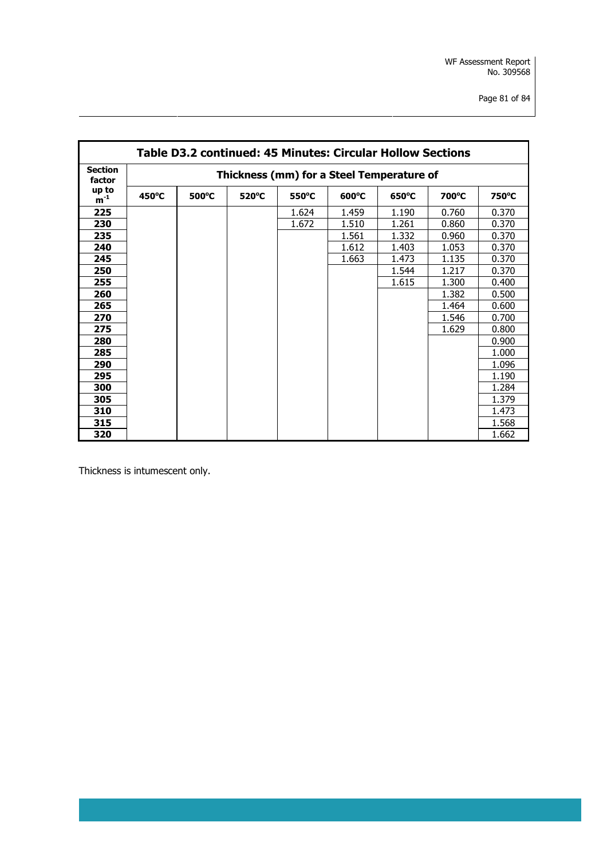|                          | Table D3.2 continued: 45 Minutes: Circular Hollow Sections |                 |                 |       |                 |                 |       |       |  |  |
|--------------------------|------------------------------------------------------------|-----------------|-----------------|-------|-----------------|-----------------|-------|-------|--|--|
| <b>Section</b><br>factor | Thickness (mm) for a Steel Temperature of                  |                 |                 |       |                 |                 |       |       |  |  |
| up to<br>$m^{-1}$        | $450^{\circ}$ C                                            | $500^{\circ}$ C | $520^{\circ}$ C | 550°C | $600^{\circ}$ C | $650^{\circ}$ C | 700°C | 750°C |  |  |
| 225                      |                                                            |                 |                 | 1.624 | 1.459           | 1.190           | 0.760 | 0.370 |  |  |
| 230                      |                                                            |                 |                 | 1.672 | 1.510           | 1.261           | 0.860 | 0.370 |  |  |
| 235                      |                                                            |                 |                 |       | 1.561           | 1.332           | 0.960 | 0.370 |  |  |
| 240                      |                                                            |                 |                 |       | 1.612           | 1.403           | 1.053 | 0.370 |  |  |
| 245                      |                                                            |                 |                 |       | 1.663           | 1.473           | 1.135 | 0.370 |  |  |
| 250                      |                                                            |                 |                 |       |                 | 1.544           | 1.217 | 0.370 |  |  |
| 255                      |                                                            |                 |                 |       |                 | 1.615           | 1.300 | 0.400 |  |  |
| 260                      |                                                            |                 |                 |       |                 |                 | 1.382 | 0.500 |  |  |
| 265                      |                                                            |                 |                 |       |                 |                 | 1.464 | 0.600 |  |  |
| 270                      |                                                            |                 |                 |       |                 |                 | 1.546 | 0.700 |  |  |
| 275                      |                                                            |                 |                 |       |                 |                 | 1.629 | 0.800 |  |  |
| 280                      |                                                            |                 |                 |       |                 |                 |       | 0.900 |  |  |
| 285                      |                                                            |                 |                 |       |                 |                 |       | 1.000 |  |  |
| 290                      |                                                            |                 |                 |       |                 |                 |       | 1.096 |  |  |
| 295                      |                                                            |                 |                 |       |                 |                 |       | 1.190 |  |  |
| 300                      |                                                            |                 |                 |       |                 |                 |       | 1.284 |  |  |
| 305                      |                                                            |                 |                 |       |                 |                 |       | 1.379 |  |  |
| 310                      |                                                            |                 |                 |       |                 |                 |       | 1.473 |  |  |
| 315                      |                                                            |                 |                 |       |                 |                 |       | 1.568 |  |  |
| 320                      |                                                            |                 |                 |       |                 |                 |       | 1.662 |  |  |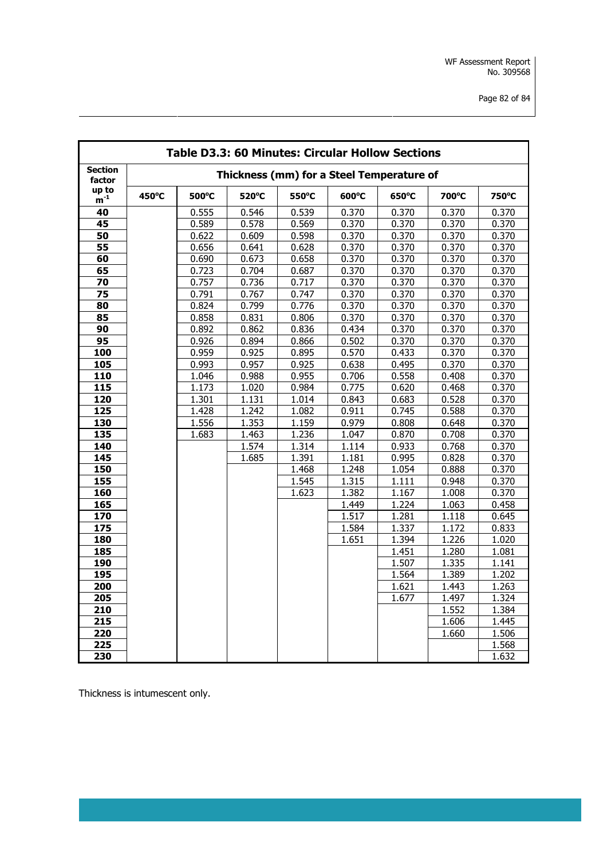| <b>Table D3.3: 60 Minutes: Circular Hollow Sections</b> |       |       |       |       |       |                                           |       |       |
|---------------------------------------------------------|-------|-------|-------|-------|-------|-------------------------------------------|-------|-------|
| <b>Section</b><br>factor                                |       |       |       |       |       | Thickness (mm) for a Steel Temperature of |       |       |
| up to<br>$m^{-1}$                                       | 450°C | 500°C | 520°C | 550°C | 600°C | 650°C                                     | 700°C | 750°C |
| 40                                                      |       | 0.555 | 0.546 | 0.539 | 0.370 | 0.370                                     | 0.370 | 0.370 |
| 45                                                      |       | 0.589 | 0.578 | 0.569 | 0.370 | 0.370                                     | 0.370 | 0.370 |
| 50                                                      |       | 0.622 | 0.609 | 0.598 | 0.370 | 0.370                                     | 0.370 | 0.370 |
| 55                                                      |       | 0.656 | 0.641 | 0.628 | 0.370 | 0.370                                     | 0.370 | 0.370 |
| 60                                                      |       | 0.690 | 0.673 | 0.658 | 0.370 | 0.370                                     | 0.370 | 0.370 |
| 65                                                      |       | 0.723 | 0.704 | 0.687 | 0.370 | 0.370                                     | 0.370 | 0.370 |
| 70                                                      |       | 0.757 | 0.736 | 0.717 | 0.370 | 0.370                                     | 0.370 | 0.370 |
| 75                                                      |       | 0.791 | 0.767 | 0.747 | 0.370 | 0.370                                     | 0.370 | 0.370 |
| 80                                                      |       | 0.824 | 0.799 | 0.776 | 0.370 | 0.370                                     | 0.370 | 0.370 |
| 85                                                      |       | 0.858 | 0.831 | 0.806 | 0.370 | 0.370                                     | 0.370 | 0.370 |
| 90                                                      |       | 0.892 | 0.862 | 0.836 | 0.434 | 0.370                                     | 0.370 | 0.370 |
| 95                                                      |       | 0.926 | 0.894 | 0.866 | 0.502 | 0.370                                     | 0.370 | 0.370 |
| 100                                                     |       | 0.959 | 0.925 | 0.895 | 0.570 | 0.433                                     | 0.370 | 0.370 |
| 105                                                     |       | 0.993 | 0.957 | 0.925 | 0.638 | 0.495                                     | 0.370 | 0.370 |
| 110                                                     |       | 1.046 | 0.988 | 0.955 | 0.706 | 0.558                                     | 0.408 | 0.370 |
| 115                                                     |       | 1.173 | 1.020 | 0.984 | 0.775 | 0.620                                     | 0.468 | 0.370 |
| 120                                                     |       | 1.301 | 1.131 | 1.014 | 0.843 | 0.683                                     | 0.528 | 0.370 |
| 125                                                     |       | 1.428 | 1.242 | 1.082 | 0.911 | 0.745                                     | 0.588 | 0.370 |
| 130                                                     |       | 1.556 | 1.353 | 1.159 | 0.979 | 0.808                                     | 0.648 | 0.370 |
| 135                                                     |       | 1.683 | 1.463 | 1.236 | 1.047 | 0.870                                     | 0.708 | 0.370 |
| 140                                                     |       |       | 1.574 | 1.314 | 1.114 | 0.933                                     | 0.768 | 0.370 |
| 145                                                     |       |       | 1.685 | 1.391 | 1.181 | 0.995                                     | 0.828 | 0.370 |
| 150                                                     |       |       |       | 1.468 | 1.248 | 1.054                                     | 0.888 | 0.370 |
| $\frac{155}{155}$                                       |       |       |       | 1.545 | 1.315 | 1.111                                     | 0.948 | 0.370 |
| 160                                                     |       |       |       | 1.623 | 1.382 | 1.167                                     | 1.008 | 0.370 |
| 165                                                     |       |       |       |       | 1.449 | 1.224                                     | 1.063 | 0.458 |
| 170                                                     |       |       |       |       | 1.517 | 1.281                                     | 1.118 | 0.645 |
| 175                                                     |       |       |       |       | 1.584 | 1.337                                     | 1.172 | 0.833 |
| 180                                                     |       |       |       |       | 1.651 | 1.394                                     | 1.226 | 1.020 |
| 185                                                     |       |       |       |       |       | 1.451                                     | 1.280 | 1.081 |
| 190                                                     |       |       |       |       |       | 1.507                                     | 1.335 | 1.141 |
| 195                                                     |       |       |       |       |       | 1.564                                     | 1.389 | 1.202 |
| 200                                                     |       |       |       |       |       | 1.621                                     | 1.443 | 1.263 |
| 205                                                     |       |       |       |       |       | 1.677                                     | 1.497 | 1.324 |
| 210                                                     |       |       |       |       |       |                                           | 1.552 | 1.384 |
| 215                                                     |       |       |       |       |       |                                           | 1.606 | 1.445 |
| 220                                                     |       |       |       |       |       |                                           | 1.660 | 1.506 |
| 225                                                     |       |       |       |       |       |                                           |       | 1.568 |
| 230                                                     |       |       |       |       |       |                                           |       | 1.632 |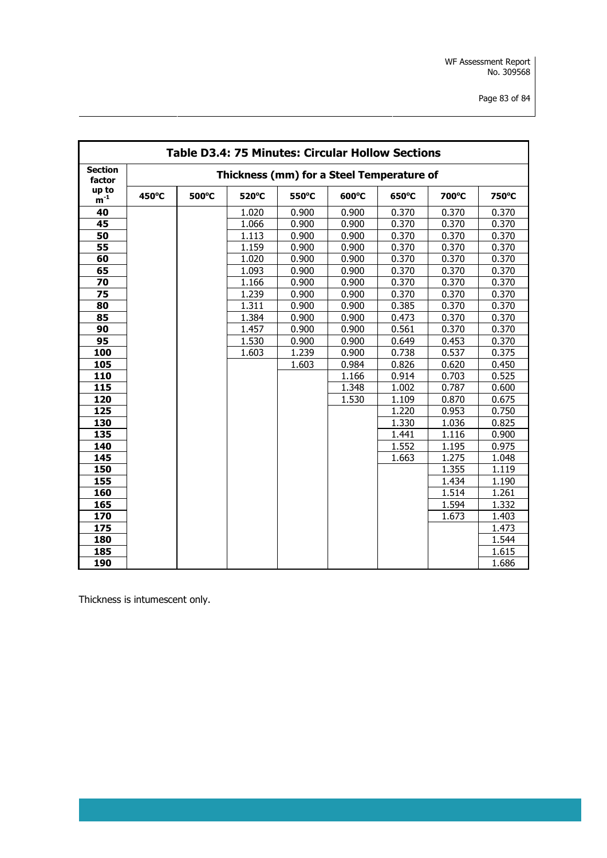| <b>Table D3.4: 75 Minutes: Circular Hollow Sections</b> |                                           |       |       |       |       |       |       |       |
|---------------------------------------------------------|-------------------------------------------|-------|-------|-------|-------|-------|-------|-------|
| <b>Section</b><br>factor                                | Thickness (mm) for a Steel Temperature of |       |       |       |       |       |       |       |
| up to<br>$m^{-1}$                                       | 450°C                                     | 500°C | 520°C | 550°C | 600°C | 650°C | 700°C | 750°C |
| 40                                                      |                                           |       | 1.020 | 0.900 | 0.900 | 0.370 | 0.370 | 0.370 |
| 45                                                      |                                           |       | 1.066 | 0.900 | 0.900 | 0.370 | 0.370 | 0.370 |
| 50                                                      |                                           |       | 1.113 | 0.900 | 0.900 | 0.370 | 0.370 | 0.370 |
| 55                                                      |                                           |       | 1.159 | 0.900 | 0.900 | 0.370 | 0.370 | 0.370 |
| 60                                                      |                                           |       | 1.020 | 0.900 | 0.900 | 0.370 | 0.370 | 0.370 |
| 65                                                      |                                           |       | 1.093 | 0.900 | 0.900 | 0.370 | 0.370 | 0.370 |
| 70                                                      |                                           |       | 1.166 | 0.900 | 0.900 | 0.370 | 0.370 | 0.370 |
| 75                                                      |                                           |       | 1.239 | 0.900 | 0.900 | 0.370 | 0.370 | 0.370 |
| 80                                                      |                                           |       | 1.311 | 0.900 | 0.900 | 0.385 | 0.370 | 0.370 |
| 85                                                      |                                           |       | 1.384 | 0.900 | 0.900 | 0.473 | 0.370 | 0.370 |
| 90                                                      |                                           |       | 1.457 | 0.900 | 0.900 | 0.561 | 0.370 | 0.370 |
| 95                                                      |                                           |       | 1.530 | 0.900 | 0.900 | 0.649 | 0.453 | 0.370 |
| 100                                                     |                                           |       | 1.603 | 1.239 | 0.900 | 0.738 | 0.537 | 0.375 |
| 105                                                     |                                           |       |       | 1.603 | 0.984 | 0.826 | 0.620 | 0.450 |
| 110                                                     |                                           |       |       |       | 1.166 | 0.914 | 0.703 | 0.525 |
| 115                                                     |                                           |       |       |       | 1.348 | 1.002 | 0.787 | 0.600 |
| 120                                                     |                                           |       |       |       | 1.530 | 1.109 | 0.870 | 0.675 |
| 125                                                     |                                           |       |       |       |       | 1.220 | 0.953 | 0.750 |
| 130                                                     |                                           |       |       |       |       | 1.330 | 1.036 | 0.825 |
| 135                                                     |                                           |       |       |       |       | 1.441 | 1.116 | 0.900 |
| 140                                                     |                                           |       |       |       |       | 1.552 | 1.195 | 0.975 |
| 145                                                     |                                           |       |       |       |       | 1.663 | 1.275 | 1.048 |
| 150                                                     |                                           |       |       |       |       |       | 1.355 | 1.119 |
| 155                                                     |                                           |       |       |       |       |       | 1.434 | 1.190 |
| 160                                                     |                                           |       |       |       |       |       | 1.514 | 1.261 |
| 165                                                     |                                           |       |       |       |       |       | 1.594 | 1.332 |
| 170                                                     |                                           |       |       |       |       |       | 1.673 | 1.403 |
| 175                                                     |                                           |       |       |       |       |       |       | 1.473 |
| 180                                                     |                                           |       |       |       |       |       |       | 1.544 |
| 185                                                     |                                           |       |       |       |       |       |       | 1.615 |
| 190                                                     |                                           |       |       |       |       |       |       | 1.686 |